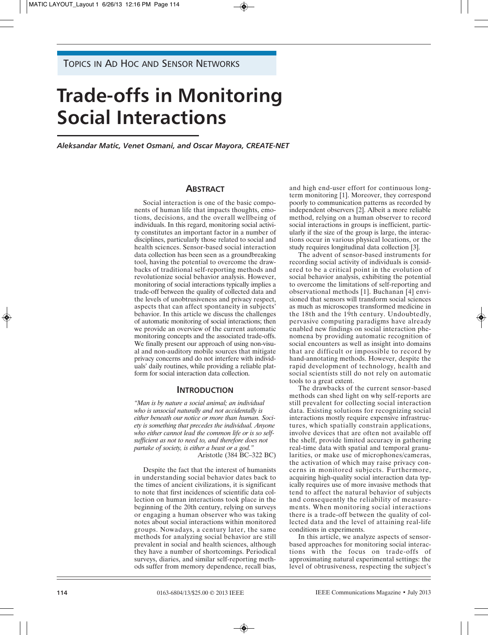# **Trade-offs in Monitoring Social Interactions**

*Aleksandar Matic, Venet Osmani, and Oscar Mayora, CREATE-NET*

### **ABSTRACT**

Social interaction is one of the basic components of human life that impacts thoughts, emotions, decisions, and the overall wellbeing of individuals. In this regard, monitoring social activity constitutes an important factor in a number of disciplines, particularly those related to social and health sciences. Sensor-based social interaction data collection has been seen as a groundbreaking tool, having the potential to overcome the drawbacks of traditional self-reporting methods and revolutionize social behavior analysis. However, monitoring of social interactions typically implies a trade-off between the quality of collected data and the levels of unobtrusiveness and privacy respect, aspects that can affect spontaneity in subjects' behavior. In this article we discuss the challenges of automatic monitoring of social interactions; then we provide an overview of the current automatic monitoring concepts and the associated trade-offs. We finally present our approach of using non-visual and non-auditory mobile sources that mitigate privacy concerns and do not interfere with individuals' daily routines, while providing a reliable platform for social interaction data collection.

## **INTRODUCTION**

*"Man is by nature a social animal; an individual who is unsocial naturally and not accidentally is either beneath our notice or more than human. Society is something that precedes the individual. Anyone who either cannot lead the common life or is so selfsufficient as not to need to, and therefore does not partake of society, is either a beast or a god."* Aristotle (384 BC–322 BC)

Despite the fact that the interest of humanists in understanding social behavior dates back to the times of ancient civilizations, it is significant to note that first incidences of scientific data collection on human interactions took place in the beginning of the 20th century, relying on surveys or engaging a human observer who was taking notes about social interactions within monitored groups. Nowadays, a century later, the same methods for analyzing social behavior are still prevalent in social and health sciences, although they have a number of shortcomings. Periodical surveys, diaries, and similar self-reporting methods suffer from memory dependence, recall bias, and high end-user effort for continuous longterm monitoring [1]. Moreover, they correspond poorly to communication patterns as recorded by independent observers [2]. Albeit a more reliable method, relying on a human observer to record social interactions in groups is inefficient, particularly if the size of the group is large, the interactions occur in various physical locations, or the study requires longitudinal data collection [3].

The advent of sensor-based instruments for recording social activity of individuals is considered to be a critical point in the evolution of social behavior analysis, exhibiting the potential to overcome the limitations of self-reporting and observational methods [1]. Buchanan [4] envisioned that sensors will transform social sciences as much as microscopes transformed medicine in the 18th and the 19th century. Undoubtedly, pervasive computing paradigms have already enabled new findings on social interaction phenomena by providing automatic recognition of social encounters as well as insight into domains that are difficult or impossible to record by hand-annotating methods. However, despite the rapid development of technology, health and social scientists still do not rely on automatic tools to a great extent.

The drawbacks of the current sensor-based methods can shed light on why self-reports are still prevalent for collecting social interaction data. Existing solutions for recognizing social interactions mostly require expensive infrastructures, which spatially constrain applications, involve devices that are often not available off the shelf, provide limited accuracy in gathering real-time data with spatial and temporal granularities, or make use of microphones/cameras, the activation of which may raise privacy concerns in monitored subjects. Furthermore, acquiring high-quality social interaction data typically requires use of more invasive methods that tend to affect the natural behavior of subjects and consequently the reliability of measurements. When monitoring social interactions there is a trade-off between the quality of collected data and the level of attaining real-life conditions in experiments.

In this article, we analyze aspects of sensorbased approaches for monitoring social interactions with the focus on trade-offs of approximating natural experimental settings: the level of obtrusiveness, respecting the subject's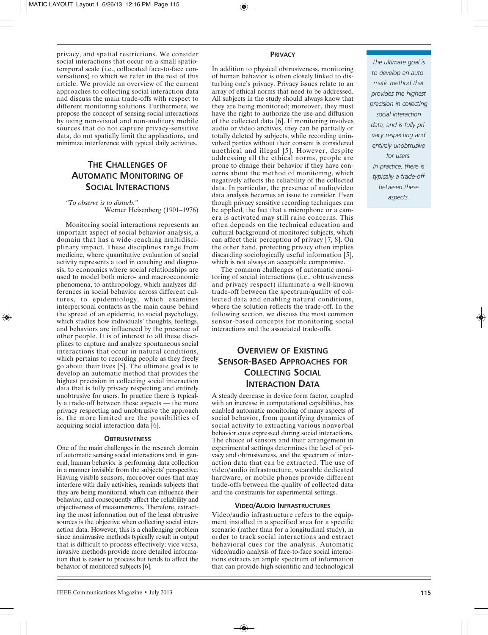privacy, and spatial restrictions. We consider social interactions that occur on a small spatiotemporal scale (i.e., collocated face-to-face conversations) to which we refer in the rest of this article. We provide an overview of the current approaches to collecting social interaction data and discuss the main trade-offs with respect to different monitoring solutions. Furthermore, we propose the concept of sensing social interactions by using non-visual and non-auditory mobile sources that do not capture privacy-sensitive data, do not spatially limit the applications, and minimize interference with typical daily activities.

# **THE CHALLENGES OF AUTOMATIC MONITORING OF SOCIAL INTERACTIONS**

*"To observe is to disturb."* Werner Heisenberg (1901–1976)

Monitoring social interactions represents an important aspect of social behavior analysis, a domain that has a wide-reaching multidisciplinary impact. These disciplines range from medicine, where quantitative evaluation of social activity represents a tool in coaching and diagnosis, to economics where social relationships are used to model both micro- and macroeconomic phenomena, to anthropology, which analyzes differences in social behavior across different cultures, to epidemiology, which examines interpersonal contacts as the main cause behind the spread of an epidemic, to social psychology, which studies how individuals' thoughts, feelings, and behaviors are influenced by the presence of other people. It is of interest to all these disciplines to capture and analyze spontaneous social interactions that occur in natural conditions, which pertains to recording people as they freely go about their lives [5]. The ultimate goal is to develop an automatic method that provides the highest precision in collecting social interaction data that is fully privacy respecting and entirely unobtrusive for users. In practice there is typically a trade-off between these aspects — the more privacy respecting and unobtrusive the approach is, the more limited are the possibilities of acquiring social interaction data [6].

#### **OBTRUSIVENESS**

One of the main challenges in the research domain of automatic sensing social interactions and, in general, human behavior is performing data collection in a manner invisible from the subjects' perspective. Having visible sensors, moreover ones that may interfere with daily activities, reminds subjects that they are being monitored, which can influence their behavior, and consequently affect the reliability and objectiveness of measurements. Therefore, extracting the most information out of the least obtrusive sources is the objective when collecting social interaction data. However, this is a challenging problem since noninvasive methods typically result in output that is difficult to process effectively; vice versa, invasive methods provide more detailed information that is easier to process but tends to affect the behavior of monitored subjects [6].

#### **PRIVACY**

In addition to physical obtrusiveness, monitoring of human behavior is often closely linked to disturbing one's privacy. Privacy issues relate to an array of ethical norms that need to be addressed. All subjects in the study should always know that they are being monitored; moreover, they must have the right to authorize the use and diffusion of the collected data [6]. If monitoring involves audio or video archives, they can be partially or totally deleted by subjects, while recording uninvolved parties without their consent is considered unethical and illegal [5]. However, despite addressing all the ethical norms, people are prone to change their behavior if they have concerns about the method of monitoring, which negatively affects the reliability of the collected data. In particular, the presence of audio/video data analysis becomes an issue to consider. Even though privacy sensitive recording techniques can be applied, the fact that a microphone or a camera is activated may still raise concerns. This often depends on the technical education and cultural background of monitored subjects, which can affect their perception of privacy [7, 8]. On the other hand, protecting privacy often implies discarding sociologically useful information [5], which is not always an acceptable compromise.

The common challenges of automatic monitoring of social interactions (i.e., obtrusiveness and privacy respect) illuminate a well-known trade-off between the spectrum/quality of collected data and enabling natural conditions, where the solution reflects the trade-off. In the following section, we discuss the most common sensor-based concepts for monitoring social interactions and the associated trade-offs.

# **OVERVIEW OF EXISTING SENSOR-BASED APPROACHES FOR COLLECTING SOCIAL INTERACTION DATA**

A steady decrease in device form factor, coupled with an increase in computational capabilities, has enabled automatic monitoring of many aspects of social behavior, from quantifying dynamics of social activity to extracting various nonverbal behavior cues expressed during social interactions. The choice of sensors and their arrangement in experimental settings determines the level of privacy and obtrusiveness, and the spectrum of interaction data that can be extracted. The use of video/audio infrastructure, wearable dedicated hardware, or mobile phones provide different trade-offs between the quality of collected data and the constraints for experimental settings.

#### **VIDEO/AUDIO INFRASTRUCTURES**

Video/audio infrastructure refers to the equipment installed in a specified area for a specific scenario (rather than for a longitudinal study), in order to track social interactions and extract behavioral cues for the analysis. Automatic video/audio analysis of face-to-face social interactions extracts an ample spectrum of information that can provide high scientific and technological

*The ultimate goal is to develop an automatic method that provides the highest precision in collecting social interaction data, and is fully privacy respecting and entirely unobtrusive for users. In practice, there is typically a trade-off between these aspects.*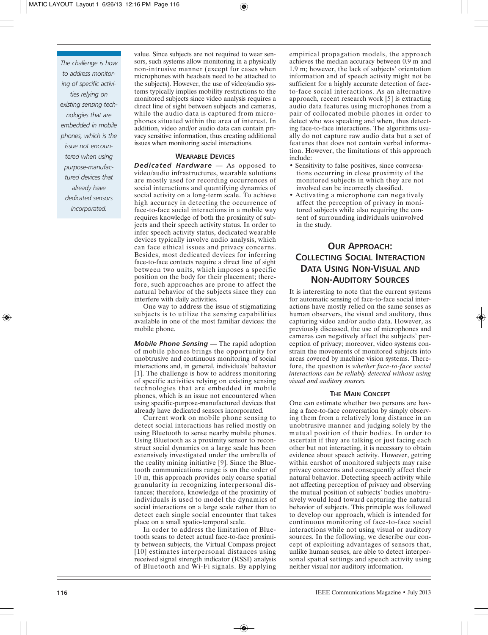*The challenge is how to address monitoring of specific activities relying on existing sensing technologies that are embedded in mobile phones, which is the issue not encountered when using purpose-manufactured devices that already have dedicated sensors incorporated.*

value. Since subjects are not required to wear sensors, such systems allow monitoring in a physically non-intrusive manner (except for cases when microphones with headsets need to be attached to the subjects). However, the use of video/audio systems typically implies mobility restrictions to the monitored subjects since video analysis requires a direct line of sight between subjects and cameras, while the audio data is captured from microphones situated within the area of interest. In addition, video and/or audio data can contain privacy sensitive information, thus creating additional issues when monitoring social interactions.

#### **WEARABLE DEVICES**

*Dedicated Hardware* — As opposed to video/audio infrastructures, wearable solutions are mostly used for recording occurrences of social interactions and quantifying dynamics of social activity on a long-term scale. To achieve high accuracy in detecting the occurrence of face-to-face social interactions in a mobile way requires knowledge of both the proximity of subjects and their speech activity status. In order to infer speech activity status, dedicated wearable devices typically involve audio analysis, which can face ethical issues and privacy concerns. Besides, most dedicated devices for inferring face-to-face contacts require a direct line of sight between two units, which imposes a specific position on the body for their placement; therefore, such approaches are prone to affect the natural behavior of the subjects since they can interfere with daily activities.

One way to address the issue of stigmatizing subjects is to utilize the sensing capabilities available in one of the most familiar devices: the mobile phone.

*Mobile Phone Sensing* — The rapid adoption of mobile phones brings the opportunity for unobtrusive and continuous monitoring of social interactions and, in general, individuals' behavior [1]. The challenge is how to address monitoring of specific activities relying on existing sensing technologies that are embedded in mobile phones, which is an issue not encountered when using specific-purpose-manufactured devices that already have dedicated sensors incorporated.

Current work on mobile phone sensing to detect social interactions has relied mostly on using Bluetooth to sense nearby mobile phones. Using Bluetooth as a proximity sensor to reconstruct social dynamics on a large scale has been extensively investigated under the umbrella of the reality mining initiative [9]. Since the Bluetooth communications range is on the order of 10 m, this approach provides only coarse spatial granularity in recognizing interpersonal distances; therefore, knowledge of the proximity of individuals is used to model the dynamics of social interactions on a large scale rather than to detect each single social encounter that takes place on a small spatio-temporal scale.

In order to address the limitation of Bluetooth scans to detect actual face-to-face proximity between subjects, the Virtual Compass project [10] estimates interpersonal distances using received signal strength indicator (RSSI) analysis of Bluetooth and Wi-Fi signals. By applying empirical propagation models, the approach achieves the median accuracy between 0.9 m and 1.9 m; however, the lack of subjects' orientation information and of speech activity might not be sufficient for a highly accurate detection of faceto-face social interactions. As an alternative approach, recent research work [5] is extracting audio data features using microphones from a pair of collocated mobile phones in order to detect who was speaking and when, thus detecting face-to-face interactions. The algorithms usually do not capture raw audio data but a set of features that does not contain verbal information. However, the limitations of this approach include:

- Sensitivity to false positives, since conversations occurring in close proximity of the monitored subjects in which they are not involved can be incorrectly classified.
- Activating a microphone can negatively affect the perception of privacy in monitored subjects while also requiring the consent of surrounding individuals uninvolved in the study.

# **OUR APPROACH: COLLECTING SOCIAL INTERACTION DATA USING NON-VISUAL AND NON-AUDITORY SOURCES**

It is interesting to note that the current systems for automatic sensing of face-to-face social interactions have mostly relied on the same senses as human observers, the visual and auditory, thus capturing video and/or audio data. However, as previously discussed, the use of microphones and cameras can negatively affect the subjects' perception of privacy; moreover, video systems constrain the movements of monitored subjects into areas covered by machine vision systems. Therefore, the question is *whether face-to-face social interactions can be reliably detected without using visual and auditory sources.*

#### **THE MAIN CONCEPT**

One can estimate whether two persons are having a face-to-face conversation by simply observing them from a relatively long distance in an unobtrusive manner and judging solely by the mutual position of their bodies. In order to ascertain if they are talking or just facing each other but not interacting, it is necessary to obtain evidence about speech activity. However, getting within earshot of monitored subjects may raise privacy concerns and consequently affect their natural behavior. Detecting speech activity while not affecting perception of privacy and observing the mutual position of subjects' bodies unobtrusively would lead toward capturing the natural behavior of subjects. This principle was followed to develop our approach, which is intended for continuous monitoring of face-to-face social interactions while not using visual or auditory sources. In the following, we describe our concept of exploiting advantages of sensors that, unlike human senses, are able to detect interpersonal spatial settings and speech activity using neither visual nor auditory information.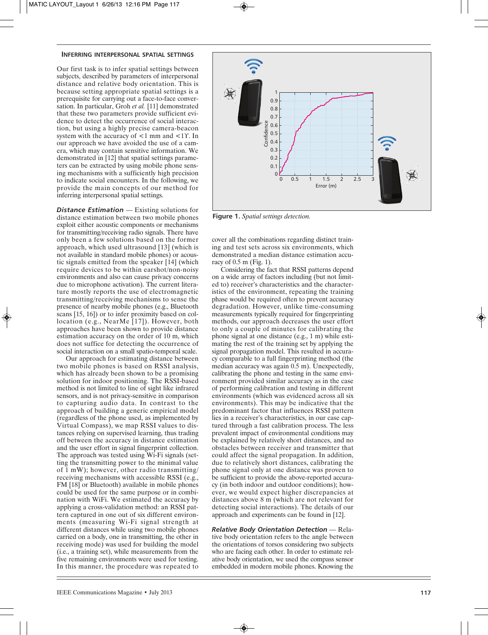#### **INFERRING INTERPERSONAL SPATIAL SETTINGS**

Our first task is to infer spatial settings between subjects, described by parameters of interpersonal distance and relative body orientation. This is because setting appropriate spatial settings is a prerequisite for carrying out a face-to-face conversation. In particular, Groh *et al.* [11] demonstrated that these two parameters provide sufficient evidence to detect the occurrence of social interaction, but using a highly precise camera-beacon system with the accuracy of  $<$ 1 mm and  $<$ 1 $\Upsilon$ . In our approach we have avoided the use of a camera, which may contain sensitive information. We demonstrated in [12] that spatial settings parameters can be extracted by using mobile phone sensing mechanisms with a sufficiently high precision to indicate social encounters. In the following, we provide the main concepts of our method for inferring interpersonal spatial settings.

*Distance Estimation* — Existing solutions for distance estimation between two mobile phones exploit either acoustic components or mechanisms for transmitting/receiving radio signals. There have only been a few solutions based on the former approach, which used ultrasound [13] (which is not available in standard mobile phones) or acoustic signals emitted from the speaker [14] (which require devices to be within earshot/non-noisy environments and also can cause privacy concerns due to microphone activation). The current literature mostly reports the use of electromagnetic transmitting/receiving mechanisms to sense the presence of nearby mobile phones (e.g., Bluetooth scans [15, 16]) or to infer proximity based on collocation (e.g., NearMe [17]). However, both approaches have been shown to provide distance estimation accuracy on the order of 10 m, which does not suffice for detecting the occurrence of social interaction on a small spatio-temporal scale.

Our approach for estimating distance between two mobile phones is based on RSSI analysis, which has already been shown to be a promising solution for indoor positioning. The RSSI-based method is not limited to line of sight like infrared sensors, and is not privacy-sensitive in comparison to capturing audio data. In contrast to the approach of building a generic empirical model (regardless of the phone used, as implemented by Virtual Compass), we map RSSI values to distances relying on supervised learning, thus trading off between the accuracy in distance estimation and the user effort in signal fingerprint collection. The approach was tested using Wi-Fi signals (setting the transmitting power to the minimal value of 1 mW); however, other radio transmitting/ receiving mechanisms with accessible RSSI (e.g., FM [18] or Bluetooth) available in mobile phones could be used for the same purpose or in combination with WiFi. We estimated the accuracy by applying a cross-validation method: an RSSI pattern captured in one out of six different environments (measuring Wi-Fi signal strength at different distances while using two mobile phones carried on a body, one in transmitting, the other in receiving mode) was used for building the model (i.e., a training set), while measurements from the five remaining environments were used for testing. In this manner, the procedure was repeated to



**Figure 1.** *Spatial settings detection.*

cover all the combinations regarding distinct training and test sets across six environments, which demonstrated a median distance estimation accuracy of 0.5 m (Fig. 1).

Considering the fact that RSSI patterns depend on a wide array of factors including (but not limited to) receiver's characteristics and the characteristics of the environment, repeating the training phase would be required often to prevent accuracy degradation. However, unlike time-consuming measurements typically required for fingerprinting methods, our approach decreases the user effort to only a couple of minutes for calibrating the phone signal at one distance (e.g., 1 m) while estimating the rest of the training set by applying the signal propagation model. This resulted in accuracy comparable to a full fingerprinting method (the median accuracy was again 0.5 m). Unexpectedly, calibrating the phone and testing in the same environment provided similar accuracy as in the case of performing calibration and testing in different environments (which was evidenced across all six environments). This may be indicative that the predominant factor that influences RSSI pattern lies in a receiver's characteristics, in our case captured through a fast calibration process. The less prevalent impact of environmental conditions may be explained by relatively short distances, and no obstacles between receiver and transmitter that could affect the signal propagation. In addition, due to relatively short distances, calibrating the phone signal only at one distance was proven to be sufficient to provide the above-reported accuracy (in both indoor and outdoor conditions); however, we would expect higher discrepancies at distances above 8 m (which are not relevant for detecting social interactions). The details of our approach and experiments can be found in [12].

*Relative Body Orientation Detection* — Relative body orientation refers to the angle between the orientations of torsos considering two subjects who are facing each other. In order to estimate relative body orientation, we used the compass sensor embedded in modern mobile phones. Knowing the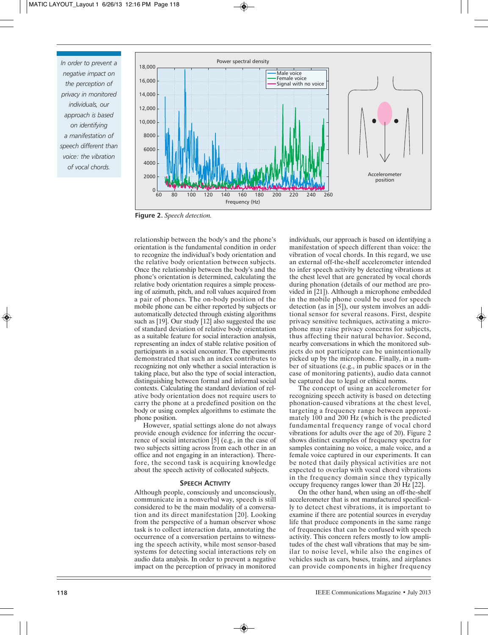*In order to prevent a negative impact on the perception of privacy in monitored individuals, our approach is based on identifying a manifestation of speech different than voice: the vibration of vocal chords.*



**Figure 2.** *Speech detection.*

relationship between the body's and the phone's orientation is the fundamental condition in order to recognize the individual's body orientation and the relative body orientation between subjects. Once the relationship between the body's and the phone's orientation is determined, calculating the relative body orientation requires a simple processing of azimuth, pitch, and roll values acquired from a pair of phones. The on-body position of the mobile phone can be either reported by subjects or automatically detected through existing algorithms such as [19]. Our study [12] also suggested the use of standard deviation of relative body orientation as a suitable feature for social interaction analysis, representing an index of stable relative position of participants in a social encounter. The experiments demonstrated that such an index contributes to recognizing not only whether a social interaction is taking place, but also the type of social interaction, distinguishing between formal and informal social contexts. Calculating the standard deviation of relative body orientation does not require users to carry the phone at a predefined position on the body or using complex algorithms to estimate the phone position.

However, spatial settings alone do not always provide enough evidence for inferring the occurrence of social interaction [5] (e.g., in the case of two subjects sitting across from each other in an office and not engaging in an interaction). Therefore, the second task is acquiring knowledge about the speech activity of collocated subjects.

#### **SPEECH ACTIVITY**

Although people, consciously and unconsciously, communicate in a nonverbal way, speech is still considered to be the main modality of a conversation and its direct manifestation [20]. Looking from the perspective of a human observer whose task is to collect interaction data, annotating the occurrence of a conversation pertains to witnessing the speech activity, while most sensor-based systems for detecting social interactions rely on audio data analysis. In order to prevent a negative impact on the perception of privacy in monitored individuals, our approach is based on identifying a manifestation of speech different than voice: the vibration of vocal chords. In this regard, we use an external off-the-shelf accelerometer intended to infer speech activity by detecting vibrations at the chest level that are generated by vocal chords during phonation (details of our method are provided in [21]). Although a microphone embedded in the mobile phone could be used for speech detection (as in [5]), our system involves an additional sensor for several reasons. First, despite privacy sensitive techniques, activating a microphone may raise privacy concerns for subjects, thus affecting their natural behavior. Second, nearby conversations in which the monitored subjects do not participate can be unintentionally picked up by the microphone. Finally, in a number of situations (e.g., in public spaces or in the case of monitoring patients), audio data cannot be captured due to legal or ethical norms.

The concept of using an accelerometer for recognizing speech activity is based on detecting phonation-caused vibrations at the chest level, targeting a frequency range between approximately 100 and 200 Hz (which is the predicted fundamental frequency range of vocal chord vibrations for adults over the age of 20). Figure 2 shows distinct examples of frequency spectra for samples containing no voice, a male voice, and a female voice captured in our experiments. It can be noted that daily physical activities are not expected to overlap with vocal chord vibrations in the frequency domain since they typically occupy frequency ranges lower than 20 Hz [22].

On the other hand, when using an off-the-shelf accelerometer that is not manufactured specifically to detect chest vibrations, it is important to examine if there are potential sources in everyday life that produce components in the same range of frequencies that can be confused with speech activity. This concern refers mostly to low amplitudes of the chest wall vibrations that may be similar to noise level, while also the engines of vehicles such as cars, buses, trains, and airplanes can provide components in higher frequency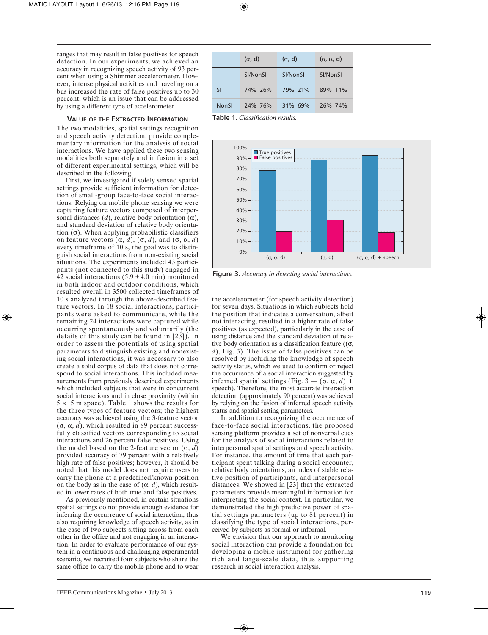ranges that may result in false positives for speech detection. In our experiments, we achieved an accuracy in recognizing speech activity of 93 percent when using a Shimmer accelerometer. However, intense physical activities and traveling on a bus increased the rate of false positives up to 30 percent, which is an issue that can be addressed by using a different type of accelerometer.

#### **VALUE OF THE EXTRACTED INFORMATION**

The two modalities, spatial settings recognition and speech activity detection, provide complementary information for the analysis of social interactions. We have applied these two sensing modalities both separately and in fusion in a set of different experimental settings, which will be described in the following.

First, we investigated if solely sensed spatial settings provide sufficient information for detection of small-group face-to-face social interactions. Relying on mobile phone sensing we were capturing feature vectors composed of interpersonal distances (*d*), relative body orientation  $(\alpha)$ , and standard deviation of relative body orientation  $(\sigma)$ . When applying probabilistic classifiers on feature vectors  $(\alpha, d)$ ,  $(\sigma, d)$ , and  $(\sigma, \alpha, d)$ every timeframe of 10 s, the goal was to distinguish social interactions from non-existing social situations. The experiments included 43 participants (not connected to this study) engaged in 42 social interactions  $(5.9 \pm 4.0 \text{ min})$  monitored in both indoor and outdoor conditions, which resulted overall in 3500 collected timeframes of 10 s analyzed through the above-described feature vectors. In 18 social interactions, participants were asked to communicate, while the remaining 24 interactions were captured while occurring spontaneously and voluntarily (the details of this study can be found in [23]). In order to assess the potentials of using spatial parameters to distinguish existing and nonexisting social interactions, it was necessary to also create a solid corpus of data that does not correspond to social interactions. This included measurements from previously described experiments which included subjects that were in concurrent social interactions and in close proximity (within  $5 \times 5$  m space). Table 1 shows the results for the three types of feature vectors; the highest accuracy was achieved using the 3-feature vector  $(\sigma, \alpha, d)$ , which resulted in 89 percent successfully classified vectors corresponding to social interactions and 26 percent false positives. Using the model based on the 2-feature vector  $(\sigma, d)$ provided accuracy of 79 percent with a relatively high rate of false positives; however, it should be noted that this model does not require users to carry the phone at a predefined/known position on the body as in the case of  $(\alpha, d)$ , which resulted in lower rates of both true and false positives.

As previously mentioned, in certain situations spatial settings do not provide enough evidence for inferring the occurrence of social interaction, thus also requiring knowledge of speech activity, as in the case of two subjects sitting across from each other in the office and not engaging in an interaction. In order to evaluate performance of our system in a continuous and challenging experimental scenario, we recruited four subjects who share the same office to carry the mobile phone and to wear

|              | $(\alpha, d)$ | $(\sigma, d)$ | $(\sigma, \alpha, d)$ |
|--------------|---------------|---------------|-----------------------|
|              | SI/NonSI      | SI/NonSI      | SI/NonSI              |
| <b>SI</b>    | 74% 26%       | 79% 21%       | 89% 11%               |
| <b>NonSI</b> | 24% 76%       | $31\%$ 69%    | 26% 74%               |

**Table 1.** *Classification results.*



**Figure 3.** *Accuracy in detecting social interactions.*

the accelerometer (for speech activity detection) for seven days. Situations in which subjects hold the position that indicates a conversation, albeit not interacting, resulted in a higher rate of false positives (as expected), particularly in the case of using distance and the standard deviation of relative body orientation as a classification feature ( $(\sigma,$ *d*), Fig. 3). The issue of false positives can be resolved by including the knowledge of speech activity status, which we used to confirm or reject the occurrence of a social interaction suggested by inferred spatial settings (Fig.  $3 - (\sigma, \alpha, d)$  + speech). Therefore, the most accurate interaction detection (approximately 90 percent) was achieved by relying on the fusion of inferred speech activity status and spatial setting parameters.

In addition to recognizing the occurrence of face-to-face social interactions, the proposed sensing platform provides a set of nonverbal cues for the analysis of social interactions related to interpersonal spatial settings and speech activity. For instance, the amount of time that each participant spent talking during a social encounter, relative body orientations, an index of stable relative position of participants, and interpersonal distances. We showed in [23] that the extracted parameters provide meaningful information for interpreting the social context. In particular, we demonstrated the high predictive power of spatial settings parameters (up to 81 percent) in classifying the type of social interactions, perceived by subjects as formal or informal.

We envision that our approach to monitoring social interaction can provide a foundation for developing a mobile instrument for gathering rich and large-scale data, thus supporting research in social interaction analysis.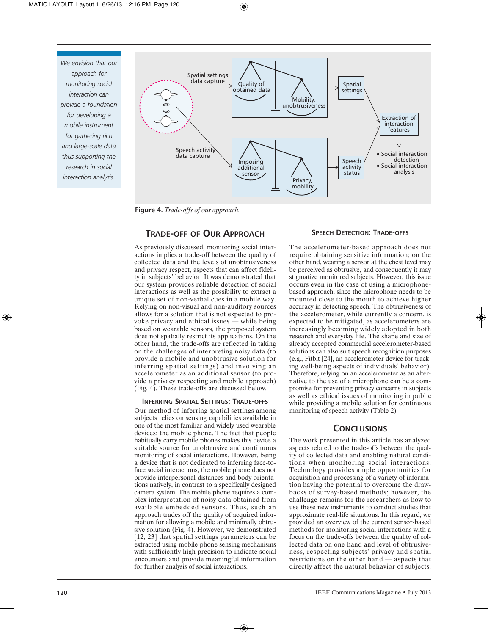*We envision that our approach for monitoring social interaction can provide a foundation for developing a mobile instrument for gathering rich and large-scale data thus supporting the research in social interaction analysis.*



**Figure 4.** *Trade-offs of our approach.*

## **TRADE-OFF OF OUR APPROACH**

As previously discussed, monitoring social interactions implies a trade-off between the quality of collected data and the levels of unobtrusiveness and privacy respect, aspects that can affect fidelity in subjects' behavior. It was demonstrated that our system provides reliable detection of social interactions as well as the possibility to extract a unique set of non-verbal cues in a mobile way. Relying on non-visual and non-auditory sources allows for a solution that is not expected to provoke privacy and ethical issues — while being based on wearable sensors, the proposed system does not spatially restrict its applications. On the other hand, the trade-offs are reflected in taking on the challenges of interpreting noisy data (to provide a mobile and unobtrusive solution for inferring spatial settings) and involving an accelerometer as an additional sensor (to provide a privacy respecting and mobile approach) (Fig. 4). These trade-offs are discussed below.

#### **INFERRING SPATIAL SETTINGS: TRADE-OFFS**

Our method of inferring spatial settings among subjects relies on sensing capabilities available in one of the most familiar and widely used wearable devices: the mobile phone. The fact that people habitually carry mobile phones makes this device a suitable source for unobtrusive and continuous monitoring of social interactions. However, being a device that is not dedicated to inferring face-toface social interactions, the mobile phone does not provide interpersonal distances and body orientations natively, in contrast to a specifically designed camera system. The mobile phone requires a complex interpretation of noisy data obtained from available embedded sensors. Thus, such an approach trades off the quality of acquired information for allowing a mobile and minimally obtrusive solution (Fig. 4). However, we demonstrated [12, 23] that spatial settings parameters can be extracted using mobile phone sensing mechanisms with sufficiently high precision to indicate social encounters and provide meaningful information for further analysis of social interactions.

#### **SPEECH DETECTION: TRADE-OFFS**

The accelerometer-based approach does not require obtaining sensitive information; on the other hand, wearing a sensor at the chest level may be perceived as obtrusive, and consequently it may stigmatize monitored subjects. However, this issue occurs even in the case of using a microphonebased approach, since the microphone needs to be mounted close to the mouth to achieve higher accuracy in detecting speech. The obtrusiveness of the accelerometer, while currently a concern, is expected to be mitigated, as accelerometers are increasingly becoming widely adopted in both research and everyday life. The shape and size of already accepted commercial accelerometer-based solutions can also suit speech recognition purposes (e.g., Fitbit [24], an accelerometer device for tracking well-being aspects of individuals' behavior). Therefore, relying on an accelerometer as an alternative to the use of a microphone can be a compromise for preventing privacy concerns in subjects as well as ethical issues of monitoring in public while providing a mobile solution for continuous monitoring of speech activity (Table 2).

## **CONCLUSIONS**

The work presented in this article has analyzed aspects related to the trade-offs between the quality of collected data and enabling natural conditions when monitoring social interactions. Technology provides ample opportunities for acquisition and processing of a variety of information having the potential to overcome the drawbacks of survey-based methods; however, the challenge remains for the researchers as how to use these new instruments to conduct studies that approximate real-life situations. In this regard, we provided an overview of the current sensor-based methods for monitoring social interactions with a focus on the trade-offs between the quality of collected data on one hand and level of obtrusiveness, respecting subjects' privacy and spatial restrictions on the other hand — aspects that directly affect the natural behavior of subjects.